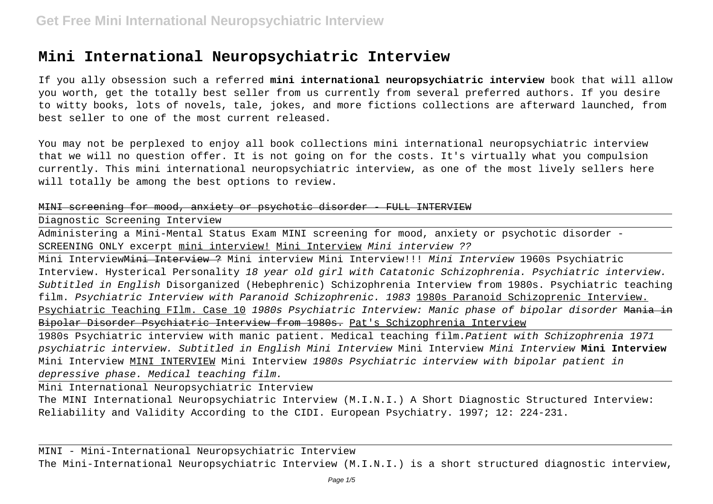## **Mini International Neuropsychiatric Interview**

If you ally obsession such a referred **mini international neuropsychiatric interview** book that will allow you worth, get the totally best seller from us currently from several preferred authors. If you desire to witty books, lots of novels, tale, jokes, and more fictions collections are afterward launched, from best seller to one of the most current released.

You may not be perplexed to enjoy all book collections mini international neuropsychiatric interview that we will no question offer. It is not going on for the costs. It's virtually what you compulsion currently. This mini international neuropsychiatric interview, as one of the most lively sellers here will totally be among the best options to review.

## MINI screening for mood, anxiety or psychotic disorder - FULL INTERVIEW

Diagnostic Screening Interview

Administering a Mini-Mental Status Exam MINI screening for mood, anxiety or psychotic disorder - SCREENING ONLY excerpt mini interview! Mini Interview Mini interview ??

Mini Interview<del>Mini Interview ?</del> Mini interview Mini Interview!!! *Mini Interview* 1960s Psychiatric Interview. Hysterical Personality 18 year old girl with Catatonic Schizophrenia. Psychiatric interview. Subtitled in English Disorganized (Hebephrenic) Schizophrenia Interview from 1980s. Psychiatric teaching film. Psychiatric Interview with Paranoid Schizophrenic. 1983 1980s Paranoid Schizoprenic Interview. Psychiatric Teaching FIlm. Case 10 1980s Psychiatric Interview: Manic phase of bipolar disorder Mania in Bipolar Disorder Psychiatric Interview from 1980s. Pat's Schizophrenia Interview

1980s Psychiatric interview with manic patient. Medical teaching film.Patient with Schizophrenia 1971 psychiatric interview. Subtitled in English Mini Interview Mini Interview Mini Interview **Mini Interview** Mini Interview MINI INTERVIEW Mini Interview 1980s Psychiatric interview with bipolar patient in depressive phase. Medical teaching film.

Mini International Neuropsychiatric Interview

The MINI International Neuropsychiatric Interview (M.I.N.I.) A Short Diagnostic Structured Interview: Reliability and Validity According to the CIDI. European Psychiatry. 1997; 12: 224-231.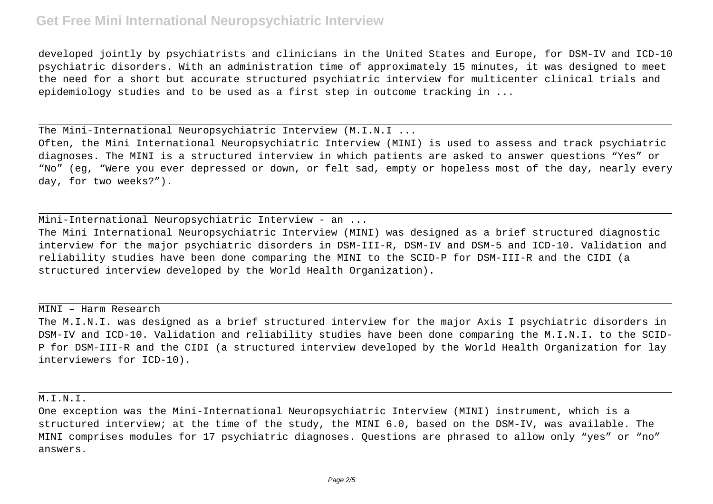## **Get Free Mini International Neuropsychiatric Interview**

developed jointly by psychiatrists and clinicians in the United States and Europe, for DSM-IV and ICD-10 psychiatric disorders. With an administration time of approximately 15 minutes, it was designed to meet the need for a short but accurate structured psychiatric interview for multicenter clinical trials and epidemiology studies and to be used as a first step in outcome tracking in ...

The Mini-International Neuropsychiatric Interview (M.I.N.I ...

Often, the Mini International Neuropsychiatric Interview (MINI) is used to assess and track psychiatric diagnoses. The MINI is a structured interview in which patients are asked to answer questions "Yes" or "No" (eg, "Were you ever depressed or down, or felt sad, empty or hopeless most of the day, nearly every day, for two weeks?").

Mini-International Neuropsychiatric Interview - an ...

The Mini International Neuropsychiatric Interview (MINI) was designed as a brief structured diagnostic interview for the major psychiatric disorders in DSM-III-R, DSM-IV and DSM-5 and ICD-10. Validation and reliability studies have been done comparing the MINI to the SCID-P for DSM-III-R and the CIDI (a structured interview developed by the World Health Organization).

MINI – Harm Research

The M.I.N.I. was designed as a brief structured interview for the major Axis I psychiatric disorders in DSM-IV and ICD-10. Validation and reliability studies have been done comparing the M.I.N.I. to the SCID-P for DSM-III-R and the CIDI (a structured interview developed by the World Health Organization for lay interviewers for ICD-10).

M.I.N.I.

One exception was the Mini-International Neuropsychiatric Interview (MINI) instrument, which is a structured interview; at the time of the study, the MINI 6.0, based on the DSM-IV, was available. The MINI comprises modules for 17 psychiatric diagnoses. Questions are phrased to allow only "yes" or "no" answers.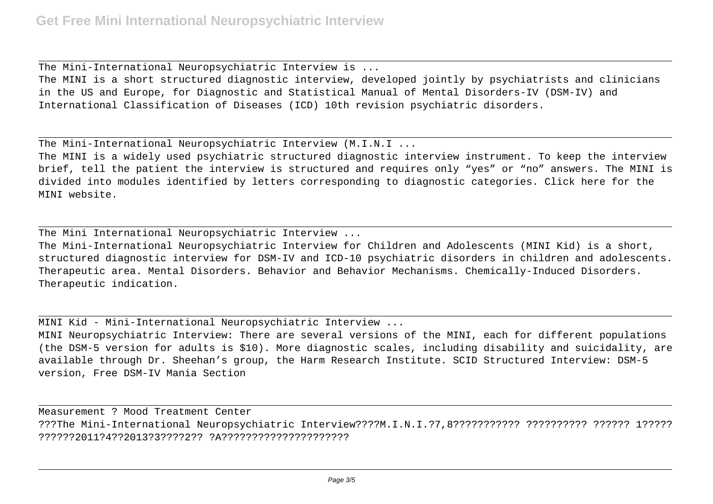The Mini-International Neuropsychiatric Interview is ...

The MINI is a short structured diagnostic interview, developed jointly by psychiatrists and clinicians in the US and Europe, for Diagnostic and Statistical Manual of Mental Disorders-IV (DSM-IV) and International Classification of Diseases (ICD) 10th revision psychiatric disorders.

The Mini-International Neuropsychiatric Interview (M.I.N.I ...

The MINI is a widely used psychiatric structured diagnostic interview instrument. To keep the interview brief, tell the patient the interview is structured and requires only "yes" or "no" answers. The MINI is divided into modules identified by letters corresponding to diagnostic categories. Click here for the MINI website.

The Mini International Neuropsychiatric Interview ...

The Mini-International Neuropsychiatric Interview for Children and Adolescents (MINI Kid) is a short, structured diagnostic interview for DSM-IV and ICD-10 psychiatric disorders in children and adolescents. Therapeutic area. Mental Disorders. Behavior and Behavior Mechanisms. Chemically-Induced Disorders. Therapeutic indication.

MINI Kid - Mini-International Neuropsychiatric Interview ...

MINI Neuropsychiatric Interview: There are several versions of the MINI, each for different populations (the DSM-5 version for adults is \$10). More diagnostic scales, including disability and suicidality, are available through Dr. Sheehan's group, the Harm Research Institute. SCID Structured Interview: DSM-5 version, Free DSM-IV Mania Section

Measurement ? Mood Treatment Center ???The Mini-International Neuropsychiatric Interview????M.I.N.I.?7,8??????????? ?????????? ?????? 1????? ??????2011?4??2013?3????2?? ?A?????????????????????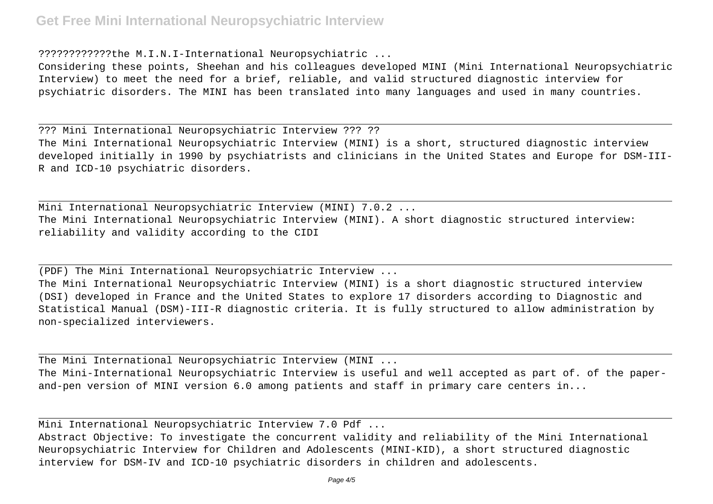## **Get Free Mini International Neuropsychiatric Interview**

????????????the M.I.N.I-International Neuropsychiatric ...

Considering these points, Sheehan and his colleagues developed MINI (Mini International Neuropsychiatric Interview) to meet the need for a brief, reliable, and valid structured diagnostic interview for psychiatric disorders. The MINI has been translated into many languages and used in many countries.

??? Mini International Neuropsychiatric Interview ??? ?? The Mini International Neuropsychiatric Interview (MINI) is a short, structured diagnostic interview developed initially in 1990 by psychiatrists and clinicians in the United States and Europe for DSM-III-R and ICD-10 psychiatric disorders.

Mini International Neuropsychiatric Interview (MINI) 7.0.2 ... The Mini International Neuropsychiatric Interview (MINI). A short diagnostic structured interview: reliability and validity according to the CIDI

(PDF) The Mini International Neuropsychiatric Interview ...

The Mini International Neuropsychiatric Interview (MINI) is a short diagnostic structured interview (DSI) developed in France and the United States to explore 17 disorders according to Diagnostic and Statistical Manual (DSM)-III-R diagnostic criteria. It is fully structured to allow administration by non-specialized interviewers.

The Mini International Neuropsychiatric Interview (MINI ... The Mini-International Neuropsychiatric Interview is useful and well accepted as part of. of the paperand-pen version of MINI version 6.0 among patients and staff in primary care centers in...

Mini International Neuropsychiatric Interview 7.0 Pdf ...

Abstract Objective: To investigate the concurrent validity and reliability of the Mini International Neuropsychiatric Interview for Children and Adolescents (MINI-KID), a short structured diagnostic interview for DSM-IV and ICD-10 psychiatric disorders in children and adolescents.